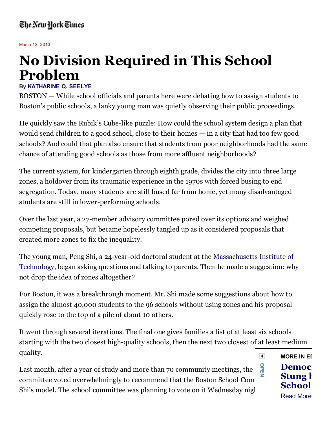## The New York Times

March 12, 2013

# **No Division Required in This School Problem**

#### **By KATHARINE Q. SEELYE**

BOSTON — While school officials and parents here were debating how to assign students to Boston's public schools, a lanky young man was quietly observing their public proceedings.

He quickly saw the Rubik's Cube-like puzzle: How could the school system design a plan that would send children to a good school, close to their homes — in a city that had too few good schools? And could that plan also ensure that students from poor neighborhoods had the same chance of attending good schools as those from more affluent neighborhoods?

The current system, for kindergarten through eighth grade, divides the city into three large zones, a holdover from its traumatic experience in the 1970s with forced busing to end segregation. Today, many students are still bused far from home, yet many disadvantaged students are still in lower-performing schools.

Over the last year, a 27-member advisory committee pored over its options and weighed competing proposals, but became hopelessly tangled up as it considered proposals that created more zones to fix the inequality.

The young man, Peng Shi, a 24-year-old doctoral student at the Massachusetts Institute of Technology, began asking questions and talking to parents. Then he made a suggestion: why not drop the idea of zones altogether?

For Boston, it was a breakthrough moment. Mr. Shi made some suggestions about how to assign the almost 40,000 students to the 96 schools without using zones and his proposal quickly rose to the top of a pile of about 10 others.

It went through several iterations. The final one gives families a list of at least six schools starting with the two closest high-quality schools, then the next two closest of at least medium quality.  $\overline{\phantom{a}}$ 

Last month, after a year of study and more than 70 community meetings, the  $\frac{9}{9}$ committee voted overwhelmingly to recommend that the Boston School Com Shi's model. The school committee was planning to vote on it Wednesday nigl

**MORE IN EDU Democ Stung b**  $School$ **Read More**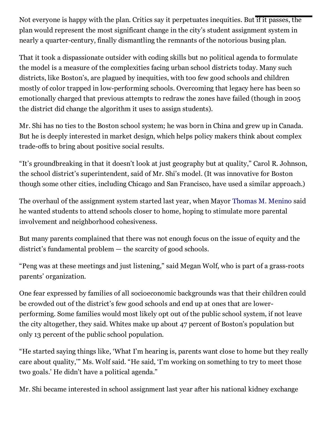Not everyone is happy with the plan. Critics say it perpetuates inequities. But if it passes, the plan would represent the most significant change in the city's student assignment system in nearly a quarter-century, finally dismantling the remnants of the notorious busing plan.

That it took a dispassionate outsider with coding skills but no political agenda to formulate the model is a measure of the complexities facing urban school districts today. Many such districts, like Boston's, are plagued by inequities, with too few good schools and children mostly of color trapped in low-performing schools. Overcoming that legacy here has been so emotionally charged that previous attempts to redraw the zones have failed (though in 2005 the district did change the algorithm it uses to assign students).

Mr. Shi has no ties to the Boston school system; he was born in China and grew up in Canada. But he is deeply interested in market design, which helps policy makers think about complex trade-offs to bring about positive social results.

"It's groundbreaking in that it doesn't look at just geography but at quality," Carol R. Johnson, the school district's superintendent, said of Mr. Shi's model. (It was innovative for Boston though some other cities, including Chicago and San Francisco, have used a similar approach.)

The overhaul of the assignment system started last year, when Mayor Thomas M. Menino said he wanted students to attend schools closer to home, hoping to stimulate more parental involvement and neighborhood cohesiveness.

But many parents complained that there was not enough focus on the issue of equity and the district's fundamental problem — the scarcity of good schools.

"Peng was at these meetings and just listening," said Megan Wolf, who is part of a grass-roots parents' organization.

One fear expressed by families of all socioeconomic backgrounds was that their children could be crowded out of the district's few good schools and end up at ones that are lowerperforming. Some families would most likely opt out of the public school system, if not leave the city altogether, they said. Whites make up about 47 percent of Boston's population but only 13 percent of the public school population.

"He started saying things like, 'What I'm hearing is, parents want close to home but they really care about quality,'" Ms. Wolf said. "He said, 'I'm working on something to try to meet those two goals.' He didn't have a political agenda."

Mr. Shi became interested in school assignment last year after his national kidney exchange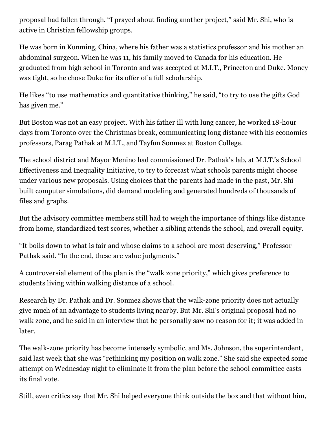proposal had fallen through. "I prayed about finding another project," said Mr. Shi, who is active in Christian fellowship groups.

He was born in Kunming, China, where his father was a statistics professor and his mother an abdominal surgeon. When he was 11, his family moved to Canada for his education. He graduated from high school in Toronto and was accepted at M.I.T., Princeton and Duke. Money was tight, so he chose Duke for its offer of a full scholarship.

He likes "to use mathematics and quantitative thinking," he said, "to try to use the gifts God has given me."

But Boston was not an easy project. With his father ill with lung cancer, he worked 18-hour days from Toronto over the Christmas break, communicating long distance with his economics professors, Parag Pathak at M.I.T., and Tayfun Sonmez at Boston College.

The school district and Mayor Menino had commissioned Dr. Pathak's lab, at M.I.T.'s School Effectiveness and Inequality Initiative, to try to forecast what schools parents might choose under various new proposals. Using choices that the parents had made in the past, Mr. Shi built computer simulations, did demand modeling and generated hundreds of thousands of files and graphs.

But the advisory committee members still had to weigh the importance of things like distance from home, standardized test scores, whether a sibling attends the school, and overall equity.

"It boils down to what is fair and whose claims to a school are most deserving," Professor Pathak said. "In the end, these are value judgments."

A controversial element of the plan is the "walk zone priority," which gives preference to students living within walking distance of a school.

Research by Dr. Pathak and Dr. Sonmez shows that the walk-zone priority does not actually give much of an advantage to students living nearby. But Mr. Shi's original proposal had no walk zone, and he said in an interview that he personally saw no reason for it; it was added in later.

The walk-zone priority has become intensely symbolic, and Ms. Johnson, the superintendent, said last week that she was "rethinking my position on walk zone." She said she expected some attempt on Wednesday night to eliminate it from the plan before the school committee casts its final vote.

Still, even critics say that Mr. Shi helped everyone think outside the box and that without him,